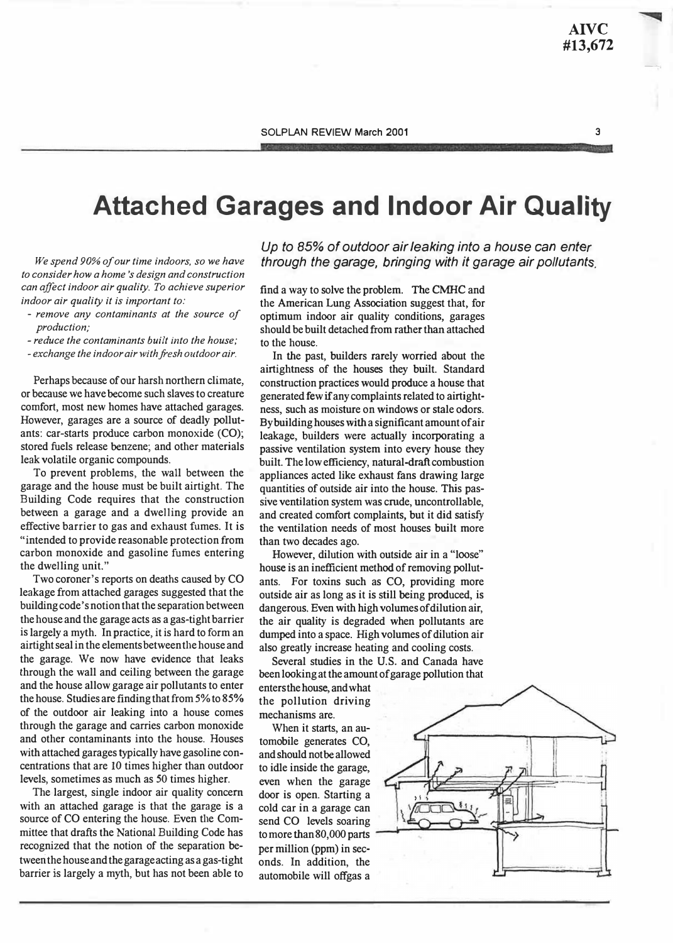3

## Attached Garages and Indoor Air Quality

We spend 90% of our time indoors, so we have to consider how a home's design and construction can affect indoor air quality. To achieve superior indoor air quality it is important to:

- remove any contaminants at the source of production;
- reduce the contaminants built into the house;
- exchange the indoor air with fresh outdoor air.

Perhaps because of our harsh northern climate, or because we have become such slaves to creature comfort, most new homes have attached garages. However, garages are a source of deadly pollutants: car-starts produce carbon monoxide (CO); stored fuels release benzene; and other materials leak volatile organic compounds.

To prevent problems, the wall between the garage and the house must be built airtight. The Building Code requires that the construction between a garage and a dwelling provide an effective barrier to gas and exhaust fumes. It is "intended to provide reasonable protection from carbon monoxide and gasoline fumes entering the dwelling unit."

Two coroner's reports on deaths caused by CO leakage from attached garages suggested that the building code's notion that the separation between the house and the garage acts as a gas-tight barrier is largely a myth. In practice, it is hard to form an airtight seal in the elements between the house and the garage. We now have evidence that leaks through the wall and ceiling between the garage and the house allow garage air pollutants to enter the house. Studies are finding that from 5% to 85% of the outdoor air leaking into a house comes through the garage and carries carbon monoxide and other contaminants into the house. Houses with attached garages typically have gasoline concentrations that are 10 times higher than outdoor levels, sometimes as much as 50 times higher.

The largest, single indoor air quality concern with an attached garage is that the garage is a source of CO entering the house. Even the Committee that drafts the National Building Code has recognized that the notion of the separation between the house and the garage acting as a gas-tight barrier is largely a myth, but has not been able to

Up to 85% of outdoor air leaking into a house can enter through the garage, bringing with it garage air pollutants.

find a way to solve the problem. The CMHC and the American Lung Association suggest that, for optimum indoor air quality conditions, garages should be built detached from rather than attached to the house.

In the past, builders rarely worried about the airtightness of the houses they built. Standard construction practices would produce a house that generated few if any complaints related to airtightness, such as moisture on windows or stale odors. By building houses with a significant amount of air leakage, builders were actually incorporating a passive ventilation system into every house they built. The low efficiency, natural-draft combustion appliances acted like exhaust fans drawing large quantities of outside air into the house. This passive ventilation system was crude, uncontrollable, and created comfort complaints, but it did satisfy the ventilation needs of most houses built more than two decades ago.

However, dilution with outside air in a "loose" house is an inefficient method of removing pollutants. For toxins such as CO, providing more outside air as long as it is still being produced, is dangerous. Even with high volumes of dilution air, the air quality is degraded when pollutants are dumped into a space. High volumes of dilution air also greatly increase heating and cooling costs.

Several studies in the U.S. and Canada have been looking at the amount of garage pollution that

enters the house, and what the pollution driving mechanisms are.

When it starts, an automobile generates CO, and should not be allowed to idle inside the garage, even when the garage door is open. Starting a cold car in a garage can send CO levels soaring to more than 80, 000 parts per million (ppm) in seconds. In addition, the automobile will offgas a

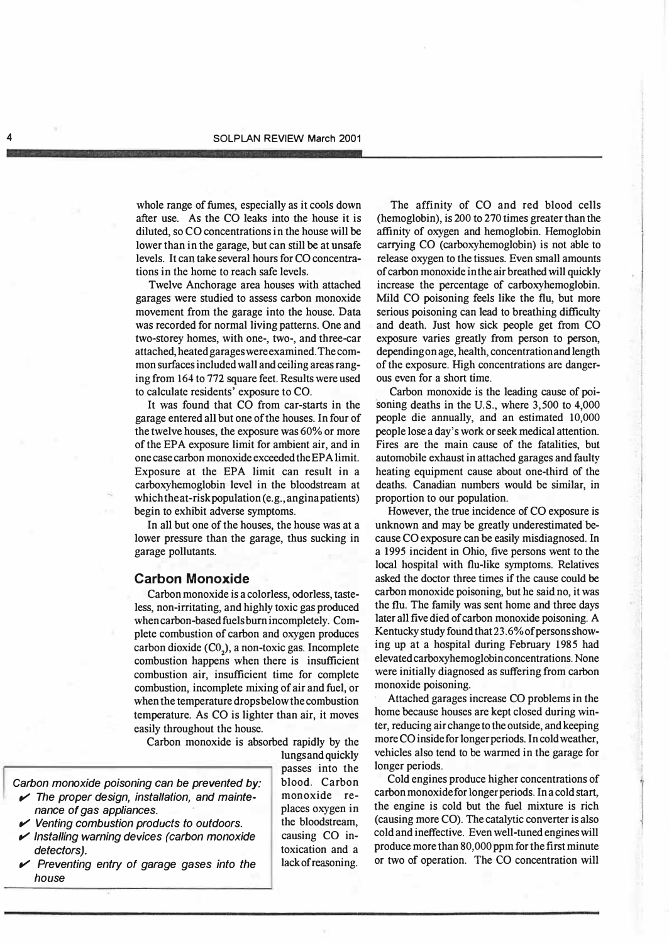whole range of fumes, especially as it cools down after use. As the CO leaks into the house it is diluted, so CO concentrations in the house will be lower than in the garage, but can still be at unsafe levels. It can take several hours for CO concentrations in the home to reach safe levels.

Twelve Anchorage area houses with attached garages were studied to assess carbon monoxide movement from the garage into the house. Data was recorded for normal living patterns. One and two-storey homes, with one-, two-, and three-car attached, heated garages were examined. The common surfaces included wall and ceiling areas ranging from 164 to 772 square feet. Results were used to calculate residents' exposure to CO.

It was found that CO from car-starts in the garage entered all but one of the houses. In four of the twelve houses, the exposure was 60% or more of the EPA exposure limit for ambient air, and in one case carbon monoxide exceeded the EPA limit. Exposure at the EPA limit can result in a carboxyhemoglobin level in the bloodstream at which the at-risk population (e.g., angina patients) begin to exhibit adverse symptoms.

In all but one of the houses, the house was at a lower pressure than the garage, thus sucking in garage pollutants.

## Carbon Monoxide

Carbon monoxide is a colorless, odorless, tasteless, non-irritating, and highly toxic gas produced when carbon-based fuels burn incompletely. Complete combustion of carbon and oxygen produces carbon dioxide  $(C<sub>0</sub>)$ , a non-toxic gas. Incomplete combustion happens when there is insufficient combustion air, insufficient time for complete combustion, incomplete mixing of air and fuel, or when the temperature drops below the combustion temperature. As CO is lighter than air, it moves easily throughout the house.

Carbon monoxide is absorbed rapidly by the

lungs and quickly

- Carbon monoxide poisoning can be prevented by:  $\blacktriangleright$  The proper design, installation, and maintenance of gas appliances.
	- $\mathcal V$  Venting combustion products to outdoors.
	- $\mathcal V$  Installing warning devices (carbon monoxide detectors).
	- $\mathcal V$  Preventing entry of garage gases into the house

passes into the blood. Carbon monoxide replaces oxygen in the bloodstream, causing CO intoxication and a lack of reasoning.

The affinity of CO and red blood cells (hemoglobin), is 200 to 270 times greater than the affinity of oxygen and hemoglobin. Hemoglobin carrying CO (carboxyhemoglobin) is not able to release oxygen to the tissues. Even small amounts of carbon monoxide in the air breathed will quickly increase the percentage of carboxyhemoglobin. Mild CO poisoning feels like the flu, but more serious poisoning can lead to breathing difficulty and death. Just how sick people get from CO exposure varies greatly from person to person, depending on age, health, concentration and length of the exposure. High concentrations are dangerous even for a short time.

Carbon monoxide is the leading cause of poisoning deaths in the U.S., where 3,500 to 4,000 people die annually, and an estimated 10,000 people lose a day's work or seek medical attention. Fires are the main cause of the fatalities, but automobile exhaust in attached garages and faulty heating equipment cause about one-third of the deaths. Canadian: numbers would be similar, in proportion to our population.

However, the true incidence of CO exposure is unknown and may be greatly underestimated because CO exposure can be easily misdiagnosed. In a 1995 incident in Ohio, five persons went to the local hospital with flu-like symptoms. Relatives asked the doctor three times if the cause could be carbon monoxide poisoning, but he said no, it was the flu. The family was sent home and three days later all five died of carbon monoxide poisoning. A Kentucky study found that 23. 6% of persons showing up at a hospital during February 1985 had elevated carboxyhemoglobin concentrations. None were initially diagnosed as suffering from carbon monoxide poisoning.

Attached garages increase CO problems in the home because houses are kept closed during winter, reducing air change to the outside, and keeping more CO inside for longer periods. In cold weather, vehicles also tend to be warmed in the garage for longer periods.

Cold engines produce higher concentrations of carbon monoxide for longer periods. In a cold start, the engine is cold but the fuel mixture is rich (causing more CO). The catalytic converter is also cold and ineffective. Even well-tuned engines will produce more than 80,000 ppm for the first minute or two of operation. The CO concentration will

).